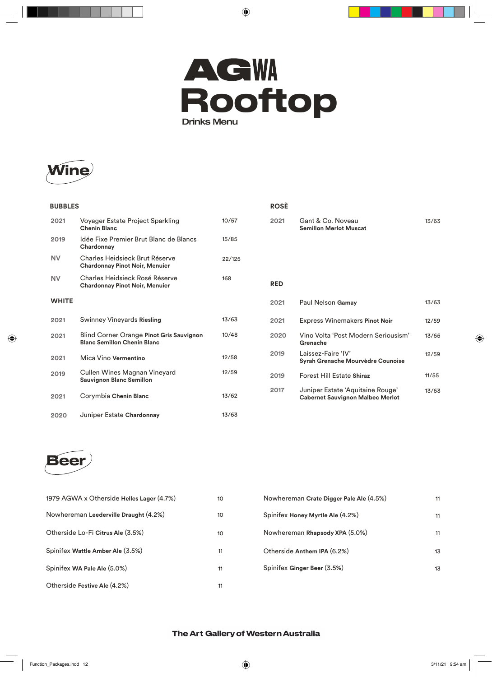



and the state of

| <b>BUBBLES</b> |                                                                                |        |
|----------------|--------------------------------------------------------------------------------|--------|
| 2021           | Voyager Estate Project Sparkling<br><b>Chenin Blanc</b>                        | 10/57  |
| 2019           | Idée Fixe Premier Brut Blanc de Blancs<br>Chardonnay                           | 15/85  |
| <b>NV</b>      | Charles Heidsieck Brut Réserve<br><b>Chardonnay Pinot Noir, Menuier</b>        | 22/125 |
| NV             | Charles Heidsieck Rosé Réserve<br><b>Chardonnay Pinot Noir, Menuier</b>        | 168    |
| <b>WHITE</b>   |                                                                                |        |
| 2021           | Swinney Vineyards Riesling                                                     | 13/63  |
| 2021           | Blind Corner Orange Pinot Gris Sauvignon<br><b>Blanc Semillon Chenin Blanc</b> | 10/48  |
| 2021           | Mica Vino Vermentino                                                           | 12/58  |
| 2019           | Cullen Wines Magnan Vineyard<br><b>Sauvignon Blanc Semillon</b>                | 12/59  |
| 2021           | Corymbia Chenin Blanc                                                          | 13/62  |
| 2020           | Juniper Estate Chardonnay                                                      | 13/63  |

|            | <b>ROSÈ</b> |                                                                             |       |
|------------|-------------|-----------------------------------------------------------------------------|-------|
| 2021       |             | Gant & Co. Noveau<br><b>Semillon Merlot Muscat</b>                          | 13/63 |
| <b>RED</b> |             |                                                                             |       |
|            |             |                                                                             |       |
| 2021       |             | Paul Nelson Gamay                                                           | 13/63 |
| 2021       |             | <b>Express Winemakers Pinot Noir</b>                                        | 12/59 |
|            | 2020        | Vino Volta 'Post Modern Seriousism'<br>Grenache                             | 13/65 |
| 2019       |             | Laissez-Faire 'IV'<br>Syrah Grenache Mourvèdre Counoise                     | 12/59 |
| 2019       |             | <b>Forest Hill Estate Shiraz</b>                                            | 11/55 |
| 2017       |             | Juniper Estate 'Aquitaine Rouge'<br><b>Cabernet Sauvignon Malbec Merlot</b> | 13/63 |



| 1979 AGWA x Otherside Helles Lager (4.7%) | 10 | Nowhereman Crate Digger Pale Ale (4.5%) | 11 |
|-------------------------------------------|----|-----------------------------------------|----|
| Nowhereman Leederville Draught (4.2%)     | 10 | Spinifex Honey Myrtle Ale (4.2%)        | 11 |
| Otherside Lo-Fi Citrus Ale (3.5%)         | 10 | Nowhereman Rhapsody XPA (5.0%)          | 11 |
| Spinifex Wattle Amber Ale (3.5%)          | 11 | Otherside Anthem IPA (6.2%)             | 13 |
| Spinifex WA Pale Ale (5.0%)               | 11 | Spinifex Ginger Beer (3.5%)             | 13 |
| Otherside Festive Ale (4.2%)              | 11 |                                         |    |